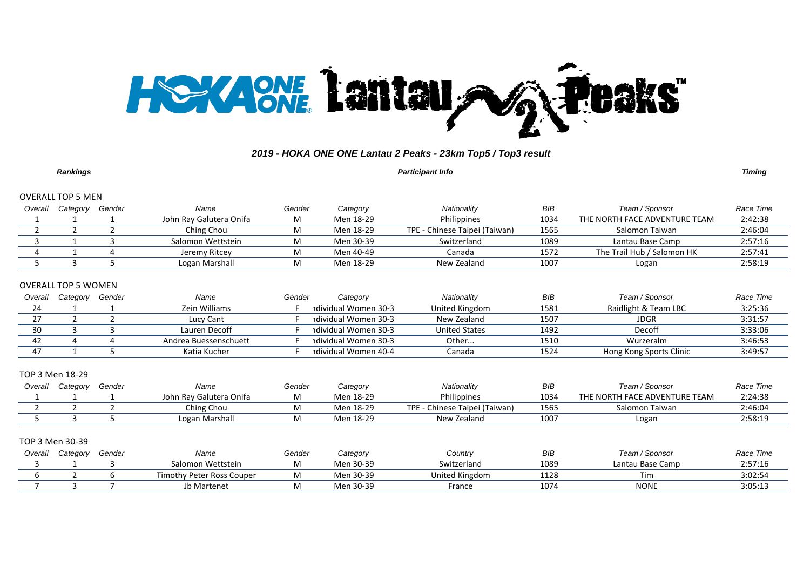

|                   | Rankings            |        |                         |        |           | <b>Participant Info</b>       |      | Timing                        |           |  |  |  |
|-------------------|---------------------|--------|-------------------------|--------|-----------|-------------------------------|------|-------------------------------|-----------|--|--|--|
| OVERALL TOP 5 MEN |                     |        |                         |        |           |                               |      |                               |           |  |  |  |
| Overall           | Category            | Gender | Name                    | Gender | Category  | Nationality                   | BIB  | Team / Sponsor                | Race Time |  |  |  |
|                   |                     |        | John Ray Galutera Onifa | M      | Men 18-29 | Philippines                   | 1034 | THE NORTH FACE ADVENTURE TEAM | 2:42:38   |  |  |  |
|                   |                     |        | Ching Chou              | м      | Men 18-29 | TPE - Chinese Taipei (Taiwan) | 1565 | Salomon Taiwan                | 2:46:04   |  |  |  |
|                   |                     |        | Salomon Wettstein       | M      | Men 30-39 | Switzerland                   | 1089 | Lantau Base Camp              | 2:57:16   |  |  |  |
|                   |                     |        | Jeremy Ritcey           | M      | Men 40-49 | Canada                        | 1572 | The Trail Hub / Salomon HK    | 2:57:41   |  |  |  |
|                   |                     |        | Logan Marshall          | M      | Men 18-29 | New Zealand                   | 1007 | Logan                         | 2:58:19   |  |  |  |
|                   |                     |        |                         |        |           |                               |      |                               |           |  |  |  |
|                   | OVERALL TOP 5 WOMEN |        |                         |        |           |                               |      |                               |           |  |  |  |

| Overall | Category | Gender | Name                  | Gender | Category             | Nationality    | BIB  | Team / Sponsor          | Race Time |
|---------|----------|--------|-----------------------|--------|----------------------|----------------|------|-------------------------|-----------|
|         |          |        | Zein Williams         |        | ndividual Women 30-3 | United Kingdom | 1581 | Raidlight & Team LBC    | 3:25:36   |
|         |          |        | Lucy Cant             |        | ndividual Women 30-3 | New Zealand    | 1507 | JDGR                    | 3:31:57   |
|         |          |        | Lauren Decoff         |        | ndividual Women 30-3 | United States  | 1492 | Decoff                  | 3:33:06   |
|         |          |        | Andrea Buessenschuett |        | ndividual Women 30-3 | Other          | 1510 | Wurzeralm               | 3:46:53   |
|         |          |        | Katia Kucher          |        | ndividual Women 40-4 | Canada         | 1524 | Hong Kong Sports Clinic | 3:49:57   |

#### TOP 3 Men 18-29

| Overall | Category | Gender | Name                    | Gender     | Category  | Nationality                    | BIB  | Team / Sponsor                | Race Time |
|---------|----------|--------|-------------------------|------------|-----------|--------------------------------|------|-------------------------------|-----------|
|         |          |        | John Rav Galutera Onifa | <b>IVI</b> | Men 18-29 | Philippines                    | 1034 | THE NORTH FACE ADVENTURE TEAM | 2:24:38   |
|         |          |        | Ching Chou              | IVI        | Men 18-29 | Chinese Taipei (Taiwan)<br>TPE | 1565 | Salomon Taiwan                | 2:46:04   |
|         |          |        | Logan Marshall          | <b>IVI</b> | Men 18-29 | New Zealand                    | 1007 | Logan                         | 2:58:19   |

#### TOP 3 Men 30-39

| Overall | Category | Gender | Name                             | Gender | Category  | Country        | BIB  | Team / Sponsor   | Race Time |
|---------|----------|--------|----------------------------------|--------|-----------|----------------|------|------------------|-----------|
|         |          |        | Salomon Wettstein                |        | Men 30-39 | Switzerland    | 1089 | Lantau Base Camp | 2:57:16   |
|         |          |        | <b>Timothy Peter Ross Couper</b> |        | Men 30-39 | United Kingdom | 1128 | Tim              | 3:02:54   |
|         |          |        | Jb Martenet                      |        | Men 30-39 | France         | 1074 | <b>NONE</b>      | 3:05:13   |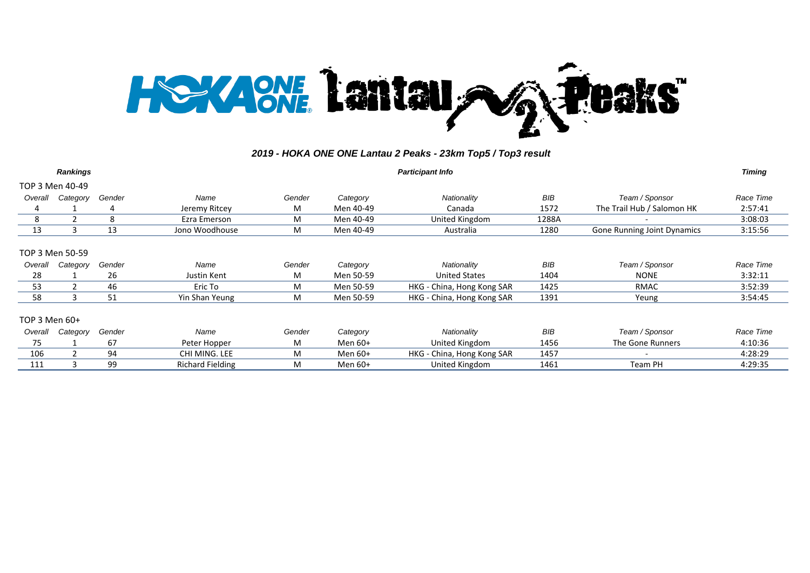

|                 | <b>Rankings</b> |        |                         |        |           | <b>Participant Info</b>    |            |                                    | <b>Timing</b> |
|-----------------|-----------------|--------|-------------------------|--------|-----------|----------------------------|------------|------------------------------------|---------------|
|                 | TOP 3 Men 40-49 |        |                         |        |           |                            |            |                                    |               |
| Overall         | Category        | Gender | Name                    | Gender | Category  | Nationality                | <b>BIB</b> | Team / Sponsor                     | Race Time     |
|                 |                 | 4      | Jeremy Ritcey           | М      | Men 40-49 | Canada                     | 1572       | The Trail Hub / Salomon HK         | 2:57:41       |
| 8               |                 | 8      | Ezra Emerson            | М      | Men 40-49 | United Kingdom             | 1288A      |                                    | 3:08:03       |
| 13              | ર               | 13     | Jono Woodhouse          | М      | Men 40-49 | Australia                  | 1280       | <b>Gone Running Joint Dynamics</b> | 3:15:56       |
| TOP 3 Men 50-59 |                 |        |                         |        |           |                            |            |                                    |               |
| Overall         | Category        | Gender | Name                    | Gender | Category  | Nationality                | <b>BIB</b> | Team / Sponsor                     | Race Time     |
| 28              |                 | 26     | Justin Kent             | М      | Men 50-59 | <b>United States</b>       | 1404       | <b>NONE</b>                        | 3:32:11       |
| 53              |                 | 46     | Eric To                 | М      | Men 50-59 | HKG - China, Hong Kong SAR | 1425       | RMAC                               | 3:52:39       |
| 58              |                 | 51     | Yin Shan Yeung          | М      | Men 50-59 | HKG - China, Hong Kong SAR | 1391       | Yeung                              | 3:54:45       |
| TOP 3 Men 60+   |                 |        |                         |        |           |                            |            |                                    |               |
| Overall         | Category        | Gender | Name                    | Gender | Category  | Nationality                | <b>BIB</b> | Team / Sponsor                     | Race Time     |
| 75              |                 | 67     | Peter Hopper            | м      | Men 60+   | United Kingdom             | 1456       | The Gone Runners                   | 4:10:36       |
| 106             |                 | 94     | CHI MING. LEE           | М      | Men 60+   | HKG - China, Hong Kong SAR | 1457       |                                    | 4:28:29       |
| 111             |                 | 99     | <b>Richard Fielding</b> | м      | Men 60+   | United Kingdom             | 1461       | Team PH                            | 4:29:35       |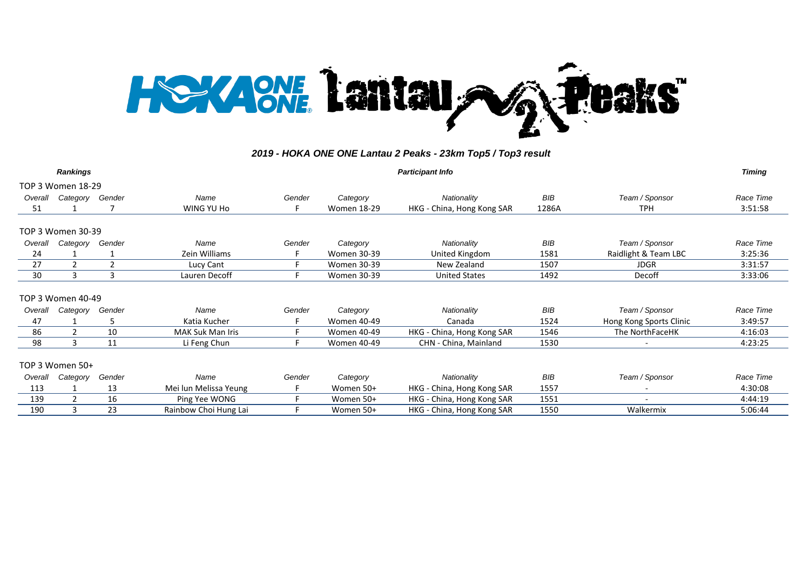

|         | <b>Rankings</b>   |                |                       |        |                    | <b>Participant Info</b>    |            |                          | <b>Timing</b> |
|---------|-------------------|----------------|-----------------------|--------|--------------------|----------------------------|------------|--------------------------|---------------|
|         | TOP 3 Women 18-29 |                |                       |        |                    |                            |            |                          |               |
| Overall | Category          | Gender         | Name                  | Gender | Category           | Nationality                | <b>BIB</b> | Team / Sponsor           | Race Time     |
| 51      |                   |                | WING YU Ho            |        | <b>Women 18-29</b> | HKG - China, Hong Kong SAR | 1286A      | <b>TPH</b>               | 3:51:58       |
|         | TOP 3 Women 30-39 |                |                       |        |                    |                            |            |                          |               |
| Overall | Category          | Gender         | Name                  | Gender | Category           | Nationality                | BIB        | Team / Sponsor           | Race Time     |
| 24      |                   |                | Zein Williams         |        | <b>Women 30-39</b> | United Kingdom             | 1581       | Raidlight & Team LBC     | 3:25:36       |
| 27      | $\mathcal{P}$     | $\overline{2}$ | Lucy Cant             |        | <b>Women 30-39</b> | New Zealand                | 1507       | <b>JDGR</b>              | 3:31:57       |
| 30      | 3                 | 3              | Lauren Decoff         |        | <b>Women 30-39</b> | <b>United States</b>       | 1492       | Decoff                   | 3:33:06       |
|         | TOP 3 Women 40-49 |                |                       |        |                    |                            |            |                          |               |
| Overall | Category          | Gender         | Name                  | Gender | Category           | Nationality                | <b>BIB</b> | Team / Sponsor           | Race Time     |
| 47      |                   | 5              | Katia Kucher          |        | <b>Women 40-49</b> | Canada                     | 1524       | Hong Kong Sports Clinic  | 3:49:57       |
| 86      | $\mathcal{P}$     | 10             | MAK Suk Man Iris      |        | <b>Women 40-49</b> | HKG - China, Hong Kong SAR | 1546       | The NorthFaceHK          | 4:16:03       |
| 98      | 3                 | 11             | Li Feng Chun          |        | <b>Women 40-49</b> | CHN - China, Mainland      | 1530       |                          | 4:23:25       |
|         | TOP 3 Women 50+   |                |                       |        |                    |                            |            |                          |               |
| Overall | Category          | Gender         | Name                  | Gender | Category           | Nationality                | BIB        | Team / Sponsor           | Race Time     |
| 113     |                   | 13             | Mei lun Melissa Yeung |        | Women 50+          | HKG - China, Hong Kong SAR | 1557       |                          | 4:30:08       |
| 139     | 2                 | 16             | Ping Yee WONG         |        | Women 50+          | HKG - China, Hong Kong SAR | 1551       | $\overline{\phantom{a}}$ | 4:44:19       |
| 190     | 3                 | 23             | Rainbow Choi Hung Lai |        | Women 50+          | HKG - China, Hong Kong SAR | 1550       | Walkermix                | 5:06:44       |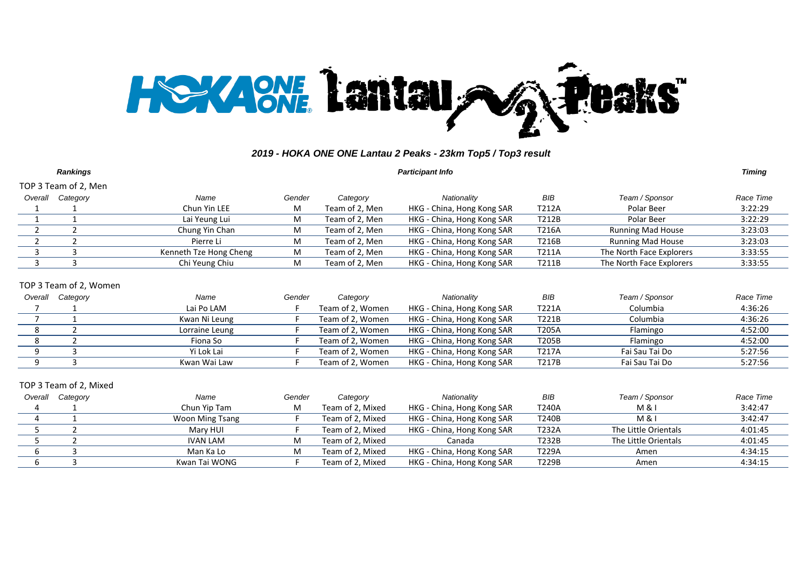

|                | <b>Rankings</b>        |                        |        | <b>Participant Info</b> |                            |            | <b>Timing</b>            |           |
|----------------|------------------------|------------------------|--------|-------------------------|----------------------------|------------|--------------------------|-----------|
|                | TOP 3 Team of 2, Men   |                        |        |                         |                            |            |                          |           |
| Overall        | Category               | Name                   | Gender | Category                | Nationality                | BIB        | Team / Sponsor           | Race Time |
|                |                        | Chun Yin LEE           | M      | Team of 2, Men          | HKG - China, Hong Kong SAR | T212A      | Polar Beer               | 3:22:29   |
|                |                        | Lai Yeung Lui          | М      | Team of 2, Men          | HKG - China, Hong Kong SAR | T212B      | Polar Beer               | 3:22:29   |
| $\overline{2}$ | $\overline{2}$         | Chung Yin Chan         | М      | Team of 2, Men          | HKG - China, Hong Kong SAR | T216A      | <b>Running Mad House</b> | 3:23:03   |
|                |                        | Pierre Li              | М      | Team of 2, Men          | HKG - China, Hong Kong SAR | T216B      | <b>Running Mad House</b> | 3:23:03   |
| 3              | 3                      | Kenneth Tze Hong Cheng | М      | Team of 2, Men          | HKG - China, Hong Kong SAR | T211A      | The North Face Explorers | 3:33:55   |
| 3              | 3                      | Chi Yeung Chiu         | М      | Team of 2, Men          | HKG - China, Hong Kong SAR | T211B      | The North Face Explorers | 3:33:55   |
|                | TOP 3 Team of 2, Women |                        |        |                         |                            |            |                          |           |
| Overall        | Category               | Name                   | Gender | Category                | Nationality                | <b>BIB</b> | Team / Sponsor           | Race Time |
|                |                        | Lai Po LAM             |        | Team of 2, Women        | HKG - China, Hong Kong SAR | T221A      | Columbia                 | 4:36:26   |
| $\overline{7}$ |                        | Kwan Ni Leung          |        | Team of 2, Women        | HKG - China, Hong Kong SAR | T221B      | Columbia                 | 4:36:26   |
| 8              |                        | Lorraine Leung         |        | Team of 2, Women        | HKG - China, Hong Kong SAR | T205A      | Flamingo                 | 4:52:00   |
| 8              |                        | Fiona So               |        | Team of 2, Women        | HKG - China, Hong Kong SAR | T205B      | Flamingo                 | 4:52:00   |
| 9              | 3                      | Yi Lok Lai             |        | Team of 2, Women        | HKG - China, Hong Kong SAR | T217A      | Fai Sau Tai Do           | 5:27:56   |
| 9              | 3                      | Kwan Wai Law           |        | Team of 2, Women        | HKG - China, Hong Kong SAR | T217B      | Fai Sau Tai Do           | 5:27:56   |
|                | TOP 3 Team of 2, Mixed |                        |        |                         |                            |            |                          |           |
| Overall        | Category               | Name                   | Gender | Category                | Nationality                | <b>BIB</b> | Team / Sponsor           | Race Time |
|                |                        | Chun Yip Tam           | M      | Team of 2, Mixed        | HKG - China, Hong Kong SAR | T240A      | M &                      | 3:42:47   |
| 4              |                        | Woon Ming Tsang        |        | Team of 2, Mixed        | HKG - China, Hong Kong SAR | T240B      | M & I                    | 3:42:47   |
| 5              | $\overline{2}$         | Mary HUI               |        | Team of 2, Mixed        | HKG - China, Hong Kong SAR | T232A      | The Little Orientals     | 4:01:45   |

 2 IVAN LAM M Team of 2, Mixed Canada T232B The Little Orientals 4:01:45 6 3 Man Ka Lo M Team of 2, Mixed HKG - China, Hong Kong SAR T229A Amen 4:34:15<br>6 3 Kwan Tai WONG F Team of 2, Mixed HKG - China, Hong Kong SAR T229B Amen 4:34:15 6 3 Kwan Tai WONG F Team of 2, Mixed HKG - China, Hong Kong SAR T229B Amen 4:34:15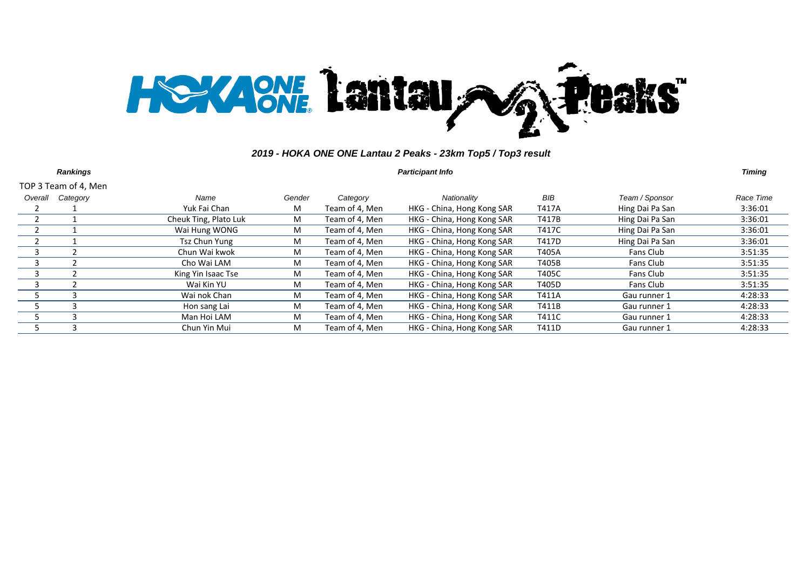

|         | <b>Rankings</b>      |                       |        |                | <b>Participant Info</b>    |       |                 | <b>Timing</b> |
|---------|----------------------|-----------------------|--------|----------------|----------------------------|-------|-----------------|---------------|
|         | TOP 3 Team of 4, Men |                       |        |                |                            |       |                 |               |
| Overall | Category             | Name                  | Gender | Category       | Nationality                | BIB   | Team / Sponsor  | Race Time     |
|         |                      | Yuk Fai Chan          | М      | Team of 4, Men | HKG - China, Hong Kong SAR | T417A | Hing Dai Pa San | 3:36:01       |
|         |                      | Cheuk Ting, Plato Luk | М      | Team of 4, Men | HKG - China, Hong Kong SAR | T417B | Hing Dai Pa San | 3:36:01       |
|         |                      | Wai Hung WONG         | М      | Team of 4, Men | HKG - China, Hong Kong SAR | T417C | Hing Dai Pa San | 3:36:01       |
|         |                      | Tsz Chun Yung         | М      | Team of 4, Men | HKG - China, Hong Kong SAR | T417D | Hing Dai Pa San | 3:36:01       |
| ર       |                      | Chun Wai kwok         | M      | Team of 4, Men | HKG - China, Hong Kong SAR | T405A | Fans Club       | 3:51:35       |
|         |                      | Cho Wai LAM           | М      | Team of 4, Men | HKG - China, Hong Kong SAR | T405B | Fans Club       | 3:51:35       |
|         |                      | King Yin Isaac Tse    | М      | Team of 4, Men | HKG - China, Hong Kong SAR | T405C | Fans Club       | 3:51:35       |
|         |                      | Wai Kin YU            | М      | Team of 4, Men | HKG - China, Hong Kong SAR | T405D | Fans Club       | 3:51:35       |
|         |                      | Wai nok Chan          | M      | Team of 4, Men | HKG - China, Hong Kong SAR | T411A | Gau runner 1    | 4:28:33       |
|         |                      | Hon sang Lai          | м      | Team of 4, Men | HKG - China, Hong Kong SAR | T411B | Gau runner 1    | 4:28:33       |
|         |                      | Man Hoi LAM           | M      | Team of 4, Men | HKG - China, Hong Kong SAR | T411C | Gau runner 1    | 4:28:33       |
|         | 3                    | Chun Yin Mui          | M      | Team of 4, Men | HKG - China, Hong Kong SAR | T411D | Gau runner 1    | 4:28:33       |
|         |                      |                       |        |                |                            |       |                 |               |